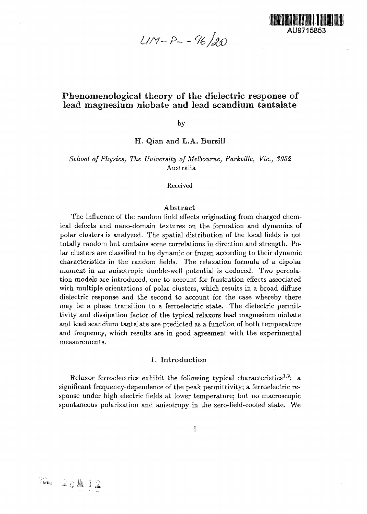$U/M - P - - 96/20$ 



# Phenomenologica! theory of the dielectric response of lead magnesium niobate and lead scandium tantalate

by

H. Qian and L.A. Bursill

*School of Physics, The University of Melbourne, Parkville, Vic, 3052* Australia

Received

#### Abstract

The influence of the random field effects originating from charged chemical defects and nano-domain textures on the formation and dynamics of polar clusters is analyzed. The spatial distribution of the local fields is not totally random but contains some correlations in direction and strength. Polar clusters are classified to be dynamic or frozen according to their dynamic characteristics in the random fields. The relaxation formula of a dipolar moment in an anisotropic double-well potential is deduced. Two percolation models are introduced, one to account for frustration effects associated with multiple orientations of polar clusters, which results in a broad diffuse dielectric response and the second to account for the case whereby there may be a phase transition to a ferroelectric state. The dielectric permittivity and dissipation factor of the typical relaxors lead magnesium niobate and lead scandium tantalate are predicted as a function of both temperature and frequency, which results are in good agreement with the experimental measurements.

#### 1. Introduction

Relaxor ferroelectrics exhibit the following typical characteristics<sup>1,2</sup>: a significant frequency-dependence of the peak permittivity; a ferroelectric response under high electric fields at lower temperature; but no macroscopic spontaneous polarization and anisotropy in the zero-field-cooled state. We

W. 28 12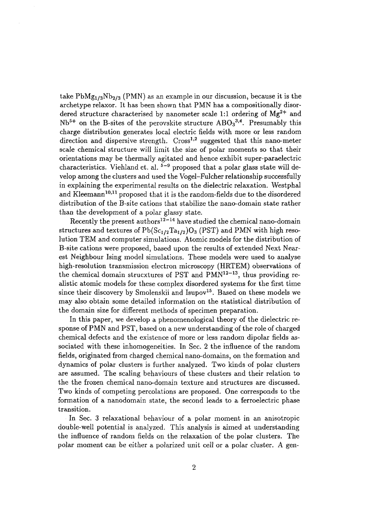take  $PbMg_{1/3}Nb_{2/3}$  (PMN) as an example in our discussion, because it is the archetype relaxor. It has been shown that PMN has a compositionally disordered structure characterised by nanometer scale 1:1 ordering of  $Mg^{2+}$  and  $Nb<sup>5+</sup>$  on the B-sites of the perovskite structure  $\text{ABO}_3^{3,4}$ . Presumably this charge distribution generates local electric fields with more or less random direction and dispersive strength. Cross<sup>1,2</sup> suggested that this nano-meter scale chemical structure will limit the size of polar moments so that their orientations may be thermally agitated and hence exhibit super-paraelectric characteristics. Viehland et. al.  $5-9$  proposed that a polar glass state will develop among the clusters and used the Vogel-Fulcher relationship successfully in explaining the experimental results on the dielectric relaxation. Westphal and Kleemann<sup>10,11</sup> proposed that it is the random-fields due to the disordered distribution of the B-site cations that stabilize the nano-domain state rather than the development of a polar glassy state.

 $\rm\,Recently\,\,the\,\,present\,\,authors^{12-14}\,\,have\,\,studied\,\,the\,\,chemical\,\,nanodomain$ structures and textures of  $Pb(Sc_{1/2}Ta_{1/2})O_3$  (PST) and PMN with high resolution TEM and computer simulations. Atomic models for the distribution of B-site cations were proposed, based upon the results of extended Next Nearest Neighbour Ising model simulations. These models were used to analyse high-resolution transmission electron microscopy (HRTEM) observations of the chemical domain strucxtures of PST and  $\text{PMN}^{12-13}$ , thus providing realistic atomic models for these complex disordered systems for the first time since their discovery by Smolenskii and Isupov<sup>15</sup>. Based on these models we may also obtain some detailed information on the statistical distribution of the domain size for different methods of specimen preparation.

In this paper, we develop a phenomenological theory of the dielectric response of PMN and PST, based on a new understanding of the role of charged chemical defects and the existence of more or less random dipolar fields associated with these inhomogeneities. In Sec. 2 the influence of the random fields, originated from charged chemical nano-domains, on the formation and dynamics of polar clusters is further analyzed. Two kinds of polar clusters are assumed. The scaling behaviours of these clusters and their relation to the the frozen chemical nano-domain texture and structures are discussed. Two kinds of competing percolations are proposed. One corresponds to the formation of a nanodomain state, the second leads to a ferroelectric phase transition.

In Sec. 3 relaxational behaviour of a polar moment in an anisotropic double-well potential is analyzed. This analysis is aimed at understanding the influence of random fields on the relaxation of the polar clusters. The polar moment can be either a polarized unit cell or a polar cluster. A gen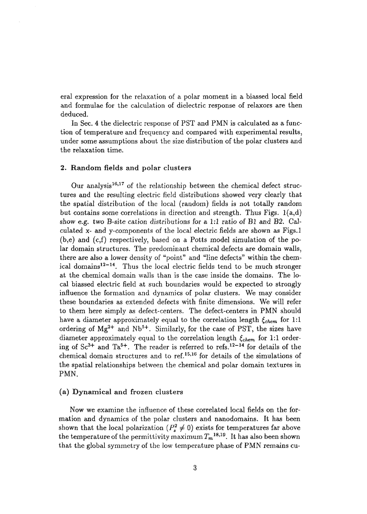eral expression for the relaxation of a polar moment in a biassed local field and formulae for the calculation of dielectric response of relaxors are then deduced.

In Sec. 4 the dielectric response of PST and PMN is calculated as a function of temperature and frequency and compared with experimental results, under some assumptions about the size distribution of the polar clusters and the relaxation time.

#### 2. Random fields and polar clusters

Our analysis<sup>16,17</sup> of the relationship between the chemical defect structures and the resulting electric field distributions showed very clearly that the spatial distribution of the local (random) fields is not totally random but contains some correlations in direction and strength. Thus Figs.  $1(a,d)$ show e.g. two B-site cation distributions for a 1:1 ratio of Bl and B2. Calculated x- and y-components of the local electric fields are shown as Figs.l  $(b,e)$  and  $(c,f)$  respectively, based on a Potts model simulation of the polar domain structures. The predominant chemical defects are domain walls, there are also a lower density of "point" and "line defects" within the chemical domains<sup>12-14</sup>. Thus the local electric fields tend to be much stronger at the chemical domain walls than is the case inside the domains. The local biassed electric field at such boundaries would be expected to strongly influence the formation and dynamics of polar clusters. We may consider these boundaries as extended defects with finite dimensions. We will refer to them here simply as defect-centers. The defect-centers in PMN should have a diameter approximately equal to the correlation length  $\xi_{chem}$  for 1:1 ordering of  $Mg^{2+}$  and  $Nb^{5+}$ . Similarly, for the case of PST, the sizes have diameter approximately equal to the correlation length  $\xi_{chem}$  for 1:1 ordering of  $Sc^{3+}$  and  $Ta^{5+}$ . The reader is referred to refs.<sup>12-14</sup> for details of the chemical domain structures and to ref.<sup>15</sup>' 16 for details of the simulations of the spatial relationships between the chemical and polar domain textures in PMN.

### (a) Dynamical and frozen clusters

Now we examine the influence of these correlated local fields on the formation and dynamics of the polar clusters and nanodomains. It has been shown that the local polarization  $(P_s^2 \neq 0)$  exists for temperatures far above the temperature of the permittivity maximum  $T_m$ <sup>18,19</sup>. It has also been shown that the global symmetry of the low temperature phase of PMN remains cu-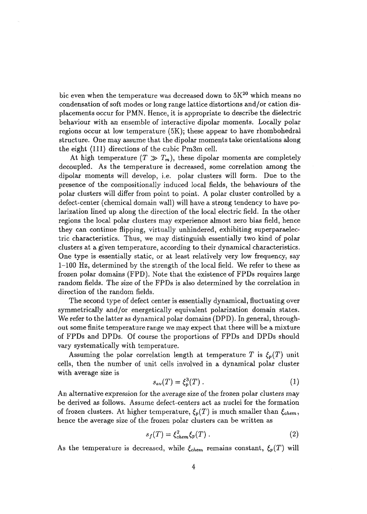bic even when the temperature was decreased down to  $5K^{\mathrm{20}}$  which means no condensation of soft modes or long range lattice distortions and/or cation displacements occur for PMN. Hence, it is appropriate to describe the dielectric behaviour with an ensemble of interactive dipolar moments. Locally polar regions occur at low temperature (5K); these appear to have rhombohedral structure. One may assume that the dipolar moments take orientations along the eight (111) directions of the cubic Pm3m cell.

At high temperature  $(T \gg T_m)$ , these dipolar moments are completely decoupled. As the temperature is decreased, some correlation among the dipolar moments will develop, i.e. polar clusters will form. Due to the presence of the compositionally induced local fields, the behaviours of the polar clusters will differ from point to point. A polar cluster controlled by a defect-center (chemical domain wall) will have a strong tendency to have polarization lined up along the direction of the local electric field. In the other regions the local polar clusters may experience almost zero bias field, hence they can continue flipping, virtually unhindered, exhibiting superparaelectric characteristics. Thus, we may distinguish essentially two kind of polar clusters at a given temperature, according to their dynamical characteristics. One type is essentially static, or at least relatively very low frequency, say 1-100 Hz, determined by the strength of the local field. We refer to these as frozen polar domains (FPD). Note that the existence of FPDs requires large random fields. The size of the FPDs is also determined by the correlation in direction of the random fields.

The second type of defect center is essentially dynamical, fluctuating over symmetrically and/or energetically equivalent polarization domain states. We refer to the latter as dynamical polar domains (DPD). In general, throughout some finite temperature range we may expect that there will be a mixture of FPDs and DPDs. Of course the proportions of FPDs and DPDs should vary systematically with temperature.

Assuming the polar correlation length at temperature T is  $\xi_p(T)$  unit cells, then the number of unit cells involved in a dynamical polar cluster with average size is

$$
s_{av}(T) = \xi_v^3(T) \,. \tag{1}
$$

An alternative expression for the average size of the frozen polar clusters may be derived as follows. Assume defect-centers act as nuclei for the formation of frozen clusters. At higher temperature,  $\xi_p(T)$  is much smaller than  $\xi_{chem}$ , hence the average size of the frozen polar clusters can be written as

$$
s_f(T) = \xi_{chem}^2 \xi_p(T) \,. \tag{2}
$$

As the temperature is decreased, while  $\xi_{chem}$  remains constant,  $\xi_p(T)$  will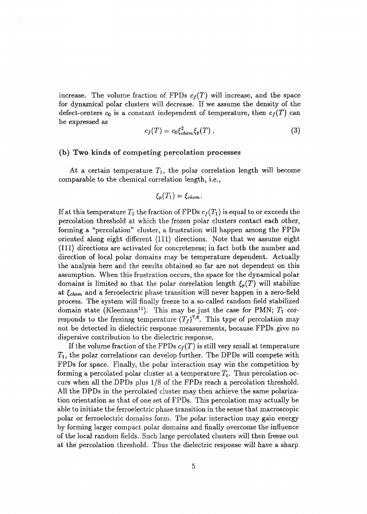increase. The volume fraction of FPDs  $c_f(T)$  will increase, and the space for dynamical polar clusters will decrease. If we assume the density of the defect-centers  $c_0$  is a constant independent of temperature, then  $c_f(T)$  can be expressed as

$$
c_f(T) = c_0 \xi_{chem}^2 \xi_p(T) \,. \tag{3}
$$

#### (b) Two kinds of competing percolation processes

At a certain temperature  $T_1$ , the polar correlation length will become comparable to the chemical correlation length, i.e.,

$$
\xi_p(T_1)=\xi_{chem}.
$$

If at this temperature  $T_1$  the fraction of FPDs  $c_f(T_1)$  is equal to or exceeds the percolation threshold at which the frozen polar clusters contact each other, forming a "percolation" cluster, a frustration will happen among the FPDs oriented along eight different (111) directions. Note that we assume eight (111) directions are activated for concreteness; in fact both the number and direction of local polar domains may be temperature dependent. Actually the analysis here and the results obtained so far are not dependent on this assumption. When this frustration occurs, the space for the dynamical polar domains is limited so that the polar correlation length  $\xi_p(T)$  will stabilize at *£chem* and a ferroelectric phase transition will never happen in a zero-field process. The system will finally freeze to a so-called random field stabilized domain state (Kleemann<sup>11</sup>). This may be just the case for PMN;  $T_1$  corresponds to the frezinsg temperature  $(T_f)^{7,8}$ . This type of percolation may not be detected in dielectric response measurements, because FPDs give no dispersive contribution to the dielectric response.

If the volume fraction of the FPDs  $c_f(T)$  is still very small at temperature *Ti,* the polar correlations can develop further. The DPDs will compete with FPDs for space. Finally, the polar interaction may win the competition by forming a percolated polar cluster at a temperature  $T_c$ . Thus percolation occurs when all the DPDs plus 1/8 of the FPDs reach a percolation threshold. All the DPDs in the percolated cluster may then achieve the same polarization orientation as that of one set of FPDs. This percolation may actually be able to initiate the ferroelectric phase transition in the sense that macroscopic polar or ferroelectric domains form. The polar interaction may gain energy by forming larger compact polar domains and finally overcome the influence of the local random fields. Such large percolated clusters will then freeze out at the percolation threshold. Thus the dielectric response will have a sharp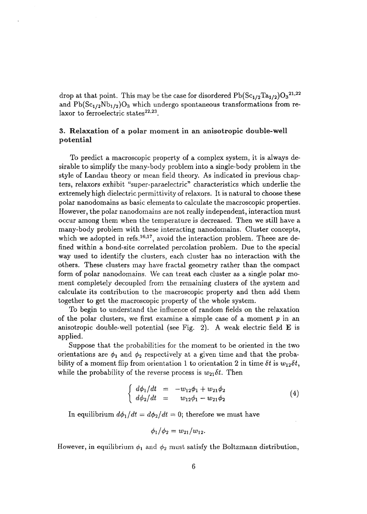drop at that point. This may be the case for disordered  $\mathrm{Pb}(\mathrm{Sc}_{1/2}\mathrm{Ta}_{1/2})\mathrm{O_3}^{21,22}$ and  $Pb(Sc_{1/2}Nb_{1/2})O_3$  which undergo spontaneous transformations from relaxor to ferroelectric states<sup>22,23</sup>.

### 3. Relaxation of a polar moment in an anisotropic double-well potential

To predict a macroscopic property of a complex system, it is always desirable to simplify the many-body problem into a single-body problem in the style of Landau theory or mean field theory. As indicated in previous chapters, relaxors exhibit "super-paraelectric" characteristics which underlie the extremely high dielectric permittivity of relaxors. It is natural to choose these polar nanodomains as basic elements to calculate the macroscopic properties. However, the polar nanodomains are not really independent, interaction must occur among them when the temperature is decreased. Then we still have a many-body problem with these interacting nanodomains. Cluster concepts, which we adopted in refs.<sup>16,17</sup>, avoid the interaction problem. These are defined within a bond-site correlated percolation problem. Due to the special way used to identify the clusters, each cluster has no interaction with the others. These clusters may have fractal geometry rather than the compact form of polar nanodomains. We can treat each cluster as a single polar moment completely decoupled from the remaining clusters of the system and calculate its contribution to the macroscopic property and then add them together to get the macroscopic property of the whole system.

To begin to understand the influence of random fields on the relaxation of the polar clusters, we first examine a simple case of a moment *p* in an anisotropic double-well potential (see Fig. 2). A weak electric field  $\bf{E}$  is applied.

Suppose that the probabilities for the moment to be oriented in the two orientations are  $\phi_1$  and  $\phi_2$  respectively at a given time and that the probability of a moment flip from orientation 1 to orientation 2 in time  $\delta t$  is  $w_{12}\delta t$ , while the probability of the reverse process is  $w_{21}\delta t$ . Then

$$
\begin{cases}\n d\phi_1/dt = -w_{12}\phi_1 + w_{21}\phi_2 \\
 d\phi_2/dt = w_{12}\phi_1 - w_{21}\phi_2\n\end{cases} (4)
$$

In equilibrium  $d\phi_1/dt = d\phi_2/dt = 0$ ; therefore we must have

$$
\phi_1/\phi_2 = w_{21}/w_{12}
$$
.

However, in equilibrium  $\phi_1$  and  $\phi_2$  must satisfy the Boltzmann distribution,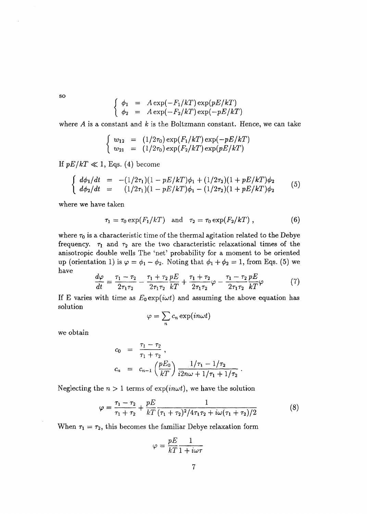**so**

$$
\begin{cases}\n\phi_1 = A \exp(-F_1/kT) \exp(pE/kT) \\
\phi_2 = A \exp(-F_2/kT) \exp(-pE/kT)\n\end{cases}
$$

where A is a constant and *k* is the Boltzmann constant. Hence, we can take

$$
\begin{cases}\nw_{12} = (1/2\tau_0) \exp(F_1/kT) \exp(-pE/kT) \\
w_{21} = (1/2\tau_0) \exp(F_2/kT) \exp(pE/kT)\n\end{cases}
$$

 $\frac{1}{2}$  p<sub>E/kT</sub>  $\frac{1}{2}$  becomes the component of  $\frac{1}{2}$ 

$$
\begin{cases}\n d\phi_1/dt = -(1/2\tau_1)(1 - pE/kT)\phi_1 + (1/2\tau_2)(1 + pE/kT)\phi_2 \\
 d\phi_2/dt = (1/2\tau_1)(1 - pE/kT)\phi_1 - (1/2\tau_2)(1 + pE/kT)\phi_2\n\end{cases}
$$
\n(5)

where we have taken

$$
\tau_1 = \tau_0 \exp(F_1/kT) \quad \text{and} \quad \tau_2 = \tau_0 \exp(F_2/kT) \tag{6}
$$

where  $\tau_0$  is a characteristic time of the thermal agitation related to the Debye frequency.  $\tau_1$  and  $\tau_2$  are the two characteristic relaxational times of the anisotropic double wells The 'net' probability for a moment to be oriented up (orientation 1) is  $\varphi = \phi_1 - \phi_2$ . Noting that  $\phi_1 + \phi_2 = 1$ , from Eqs. (5) we have

$$
\frac{d\varphi}{dt} = \frac{\tau_1 - \tau_2}{2\tau_1 \tau_2} - \frac{\tau_1 + \tau_2}{2\tau_1 \tau_2} \frac{pE}{kT} + \frac{\tau_1 + \tau_2}{2\tau_1 \tau_2} \varphi - \frac{\tau_1 - \tau_2}{2\tau_1 \tau_2} \frac{pE}{kT} \varphi \tag{7}
$$

If E varies with time as  $E_0 \exp(i \omega t)$  and assuming the above equation has solution

$$
\varphi = \sum_{n} c_n \exp(in\omega t)
$$

we obtain

$$
c_0 = \frac{\tau_1 - \tau_2}{\tau_1 + \tau_2},
$$
  
\n
$$
c_n = c_{n-1} \left( \frac{pE_0}{kT} \right) \frac{1/\tau_1 - 1/\tau_2}{i2n\omega + 1/\tau_1 + 1/\tau_2}.
$$

Neglecting the  $n > 1$  terms of  $exp(in\omega t)$ , we have the solution

$$
\varphi = \frac{\tau_1 - \tau_2}{\tau_1 + \tau_2} + \frac{pE}{kT} \frac{1}{(\tau_1 + \tau_2)^2 / 4\tau_1 \tau_2 + i\omega(\tau_1 + \tau_2)/2}
$$
(8)

When  $\tau_1 = \tau_2$ , this becomes the familiar Debye relaxation form

$$
\varphi=\frac{pE}{kT}\frac{1}{1+i\omega\tau}
$$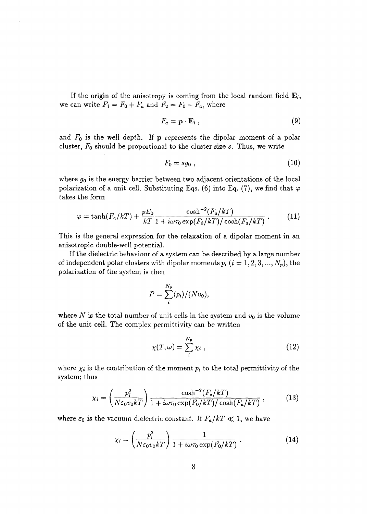If the origin of the anisotropy is coming from the local random field  $E_i$ , we can write  $F_1 = F_0 + F_a$  and  $F_2 = F_0 - F_a$ , where

$$
F_a = \mathbf{p} \cdot \mathbf{E}_l \,, \tag{9}
$$

and *FQ* is the well depth. If p represents the dipolar moment of a polar cluster, *FQ* should be proportional to the cluster size *s.* Thus, we write

$$
F_0 = s g_0 \t{10}
$$

where *g0* is the energy barrier between two adjacent orientations of the local polarization of a unit cell. Substituting Eqs. (6) into Eq. (7), we find that  $\varphi$ takes the form

$$
\varphi = \tanh(F_a/kT) + \frac{pE_0}{kT} \frac{\cosh^{-2}(F_a/kT)}{1 + i\omega\tau_0 \exp(F_0/kT)/\cosh(F_a/kT)}.
$$
 (11)

This is the general expression for the relaxation of a dipolar moment in an anisotropic double-well potential.

If the dielectric behaviour of a system can be described by a large number of independent polar clusters with dipolar moments  $p_i$   $(i = 1, 2, 3, ..., N_p)$ , the polarization of the system is then

$$
P = \sum_{i}^{N_p} \langle p_i \rangle / (N v_0),
$$

where N is the total number of unit cells in the system and  $v_0$  is the volume of the unit cell. The complex permittivity can be written

$$
\chi(T,\omega) = \sum_{i}^{N_p} \chi_i \tag{12}
$$

where  $\chi_i$  is the contribution of the moment  $p_i$  to the total permittivity of the system; thus

$$
\chi_i = \left(\frac{p_i^2}{N\varepsilon_0 v_0 kT}\right) \frac{\cosh^{-2}(F_a/kT)}{1 + i\omega \tau_0 \exp(F_0/kT)/\cosh(F_a/kT)},\tag{13}
$$

where  $\varepsilon_0$  is the vacuum dielectric constant. If  $F_a/kT \ll 1$ , we have

$$
\chi_i = \left(\frac{p_i^2}{N\varepsilon_0 v_0 kT}\right) \frac{1}{1 + i\omega \tau_0 \exp(F_0/kT)}.
$$
\n(14)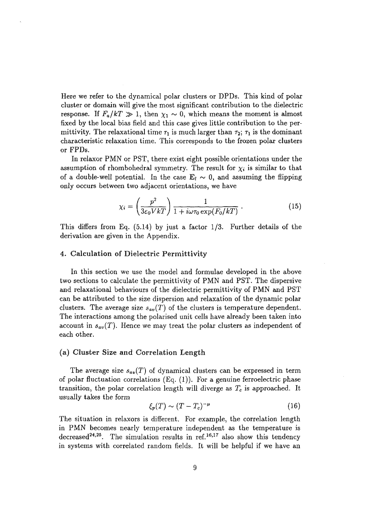Here we refer to the dynamical polar clusters or DPDs. This kind of polar cluster or domain will give the most significant contribution to the dielectric response. If  $F_a/kT \gg 1$ , then  $\chi_1 \sim 0$ , which means the moment is almost fixed by the local bias field and this case gives little contribution to the permittivity. The relaxational time  $\tau_1$  is much larger than  $\tau_2$ ;  $\tau_1$  is the dominant characteristic relaxation time. This corresponds to the frozen polar clusters or FPDs.

In relaxor PMN or PST, there exist eight possible orientations under the assumption of rhombohedral symmetry. The result for  $\chi_i$  is similar to that of a double-well potential. In the case  $\mathbf{E}_l \sim 0$ , and assuming the flipping only occurs between two adjacent orientations, we have

$$
\chi_i = \left(\frac{p^2}{3\varepsilon_0 V kT}\right) \frac{1}{1 + i\omega \tau_0 \exp(F_0/kT)}.
$$
\n(15)

This differs from Eq. (5.14) by just a factor 1/3. Further details of the derivation are given in the Appendix.

#### 4. Calculation of Dielectric Permittivity

In this section we use the model and formulae developed in the above two sections to calculate the permittivity of PMN and PST. The dispersive and relaxational behaviours of the dielectric permittivity of PMN and PST can be attributed to the size dispersion and relaxation of the dynamic polar clusters. The average size  $s_{av}(T)$  of the clusters is temperature dependent. The interactions among the polarised unit cells have already been taken into account in *sav{T).* Hence we may treat the polar clusters as independent of each other.

### (a) Cluster Size and Correlation Length

The average size *sav(T)* of dynamical clusters can be expressed in term of polar fluctuation correlations  $(Eq. (1))$ . For a genuine ferroelectric phase transition, the polar correlation length will diverge as *Tc* is approached. It usually takes the form

$$
\xi_p(T) \sim (T - T_c)^{-\mu} \tag{16}
$$

The situation in relaxors is different. For example, the correlation length in PMN becomes nearly temperature independent as the temperature is decreased<sup>24,25</sup>. The simulation results in ref.<sup>16,17</sup> also show this tendency in systems with correlated random fields. It will be helpful if we have an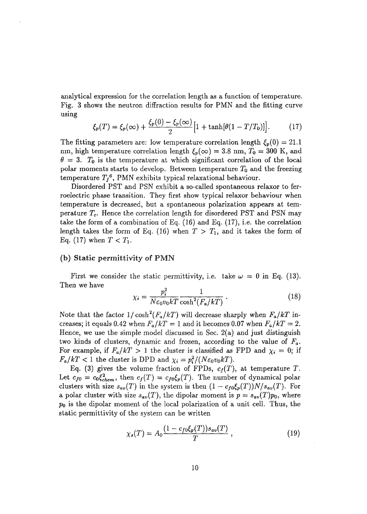analytical expression for the correlation length as a function of temperature. Fig. 3 shows the neutron diffraction results for PMN and the fitting curve using

$$
\xi_p(T) = \xi_p(\infty) + \frac{\xi_p(0) - \xi_p(\infty)}{2} \Big[ 1 + \tanh[\theta(1 - T/T_0)] \Big]. \tag{17}
$$

The fitting parameters are: low temperature correlation length  $\xi_p(0) = 21.1$ nm, high temperature correlation length  $\xi_p(\infty) = 3.8$  nm,  $T_0 = 300$  K, and  $\theta = 3$ . T<sub>0</sub> is the temperature at which significant correlation of the local polar moments starts to develop. Between temperature  $T_0$  and the freezing temperature  $T_f$ <sup>6</sup>, PMN exhibits typical relaxational behaviour.

Disordered PST and PSN exhibit a so-called spontaneous relaxor to ferroelectric phase transition. They first show typical relaxor behaviour when temperature is decreased, but a spontaneous polarization appears at temperature *Tc.* Hence the correlation length for disordered PST and PSN may take the form of a combination of Eq. (16) and Eq. (17), i.e. the correlation length takes the form of Eq. (16) when  $T > T_1$ , and it takes the form of Eq. (17) when  $T < T_1$ .

### (b) Static permittivity of PMN

First we consider the static permittivity, i.e. take  $\omega = 0$  in Eq. (13). Then we have

$$
\chi_i = \frac{p_i^2}{N\varepsilon_0 v_0 k T} \frac{1}{\cosh^2(F_a/kT)}.
$$
\n(18)

Note that the factor  $1/\cosh^2(F_a/kT)$  will decrease sharply when  $F_a/kT$  increases; it equals 0.42 when  $F_a/kT = 1$  and it becomes 0.07 when  $F_a/kT = 2$ . Hence, we use the simple model discussed in Sec. 2(a) and just distinguish two kinds of clusters, dynamic and frozen, according to the value of *Fa.* For example, if  $F_a/kT > 1$  the cluster is classified as FPD and  $\chi_i = 0$ ; if  $F_a/kT < 1$  the cluster is DPD and  $\chi_i = p_i^2/(N\varepsilon_0 v_0 kT)$ .

Eq. (3) gives the volume fraction of FPDs,  $c_f(T)$ , at temperature T. Let  $c_{f0} = c_0 \xi_{chem}^2$ , then  $c_f(T) = c_{f0} \xi_p(T)$ . The number of dynamical polar clusters with size  $s_{av}(T)$  in the system is then  $(1 - c_{f0}\xi_p(T))N/s_{av}(T)$ . For a polar cluster with size  $s_{av}(T)$ , the dipolar moment is  $p = s_{av}(T)p_0$ , where *po* is the dipolar moment of the local polarization of a unit cell. Thus, the static permittivity of the system can be written

$$
\chi_s(T) = A_0 \frac{(1 - c_{f0} \xi_p(T)) s_{av}(T)}{T} , \qquad (19)
$$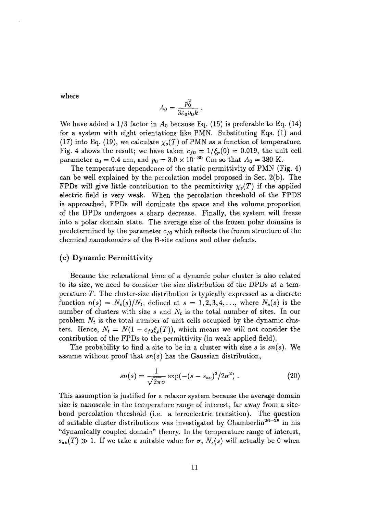where

$$
A_0 = \frac{p_0^2}{3\varepsilon_0 v_0 k}
$$

We have added a  $1/3$  factor in  $A_0$  because Eq. (15) is preferable to Eq. (14) for a system with eight orientations like PMN. Substituting Eqs. (1) and (17) into Eq. (19), we calculate  $\chi_s(T)$  of PMN as a function of temperature. Fig. 4 shows the result; we have taken  $c_{f0} = 1/\xi_p(0) = 0.019$ , the unit cell parameter  $a_0 = 0.4$  nm, and  $p_0 = 3.0 \times 10^{-30}$  Cm so that  $A_0 = 380$  K.

The temperature dependence of the static permittivity of PMN (Fig. 4) can be well explained by the percolation model proposed in Sec. 2(b). The FPDs will give little contribution to the permittivity  $\chi_s(T)$  if the applied electric field is very weak. When the percolation threshold of the FPDS is approached, FPDs will dominate the space and the volume proportion of the DPDs undergoes a sharp decrease. Finally, the system will freeze into a polar domain state. The average size of the frozen polar domains is predetermined by the parameter  $c_{f0}$  which reflects the frozen structure of the chemical nanodomains of the B-site cations and other defects.

### (c) Dynamic Permittivity

Because the relaxational time of a dynamic polar cluster is also related *to* its size, we need to consider the size distribution of the DPDs at a temperature *T.* The cluster-size distribution is typically expressed as a discrete function  $n(s) = N_s(s)/N_t$ , defined at  $s = 1, 2, 3, 4, \ldots$ , where  $N_s(s)$  is the number of clusters with size *s* and *N<sup>t</sup>* is the total number of sites. In our problem  $N_t$  is the total number of unit cells occupied by the dynamic clusters. Hence,  $N_t = N(1 - c_{f0} \xi_p(T))$ , which means we will not consider the contribution of the FPDs to the permittivity (in weak applied field).

The probability to find a site to be in a cluster with size *s* is *sn(s).* We assume without proof that *sn(s)* has the Gaussian distribution,

$$
sn(s) = \frac{1}{\sqrt{2\pi}\sigma} \exp(-(s - s_{av})^2/2\sigma^2) \ . \tag{20}
$$

This assumption is justified for a relaxor system because the average domain size is nanoscale in the temperature range of interest, far away from a sitebond percolation threshold (i.e. a ferroelectric transition). The question of suitable cluster distributions was investigated by Chamberlin<sup>26-28</sup> in his "dynamically coupled domain" theory. In the temperature range of interest,  $s_{av}(T) \gg 1$ . If we take a suitable value for  $\sigma$ ,  $N_s(s)$  will actually be 0 when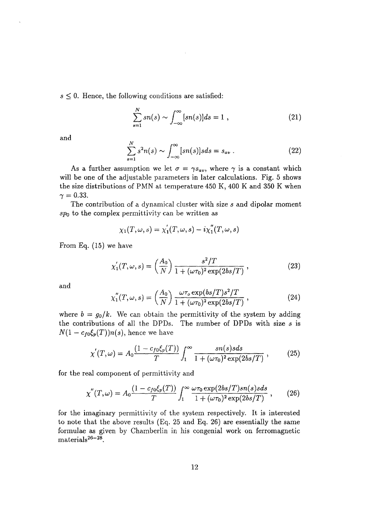$s \leq 0$ . Hence, the following conditions are satisfied:

$$
\sum_{s=1}^{N} sn(s) \sim \int_{-\infty}^{\infty} [sn(s)]ds = 1 , \qquad (21)
$$

and

$$
\sum_{s=1}^{N} s^2 n(s) \sim \int_{-\infty}^{\infty} [sn(s)] s ds = s_{av} . \qquad (22)
$$

As a further assumption we let  $\sigma = \gamma s_{av}$ , where  $\gamma$  is a constant which will be one of the adjustable parameters in later calculations. Fig. 5 shows the size distributions of PMN at temperature 450 K, 400 K and 350 K when  $\gamma = 0.33$ .

The contribution of a dynamical cluster with size *s* and dipolar moment  $sp<sub>0</sub>$  to the complex permittivity can be written as

$$
\chi_1(T,\omega,s)=\chi_1'(T,\omega,s)-i\chi_1''(T,\omega,s)
$$

From Eq. (15) we have

$$
\chi_1'(T,\omega,s) = \left(\frac{A_0}{N}\right) \frac{s^2/T}{1 + (\omega \tau_0)^2 \exp(2bs/T)},
$$
\n(23)

and

$$
\chi_1''(T,\omega,s) = \left(\frac{A_0}{N}\right) \frac{\omega \tau_o \exp(b s/T) s^2/T}{1 + (\omega \tau_0)^2 \exp(2bs/T)}, \qquad (24)
$$

where  $b = g_0/k$ . We can obtain the permittivity of the system by adding the contributions of all the DPDs. The number of DPDs with size *s* is  $N(1 - c_{f0}\xi_p(T))n(s)$ , hence we have

$$
\chi'(T,\omega) = A_0 \frac{(1 - c_{f0} \xi_p(T))}{T} \int_1^{\infty} \frac{sn(s)s ds}{1 + (\omega \tau_0)^2 \exp(2bs/T)},
$$
(25)

for the real component of permittivity and

$$
\chi''(T,\omega) = A_0 \frac{(1 - c_{f0} \xi_p(T))}{T} \int_1^{\infty} \frac{\omega \tau_0 \exp(2bs/T) s n(s) s ds}{1 + (\omega \tau_0)^2 \exp(2bs/T)}, \qquad (26)
$$

for the imaginary permittivity of the system respectively. It is interested to note that the above results (Eq. 25 and Eq. 26) are essentially the same formulae as given by Chamberlin in his congenial work on ferromagnetic  $\mathrm{materials}^{26-28}.$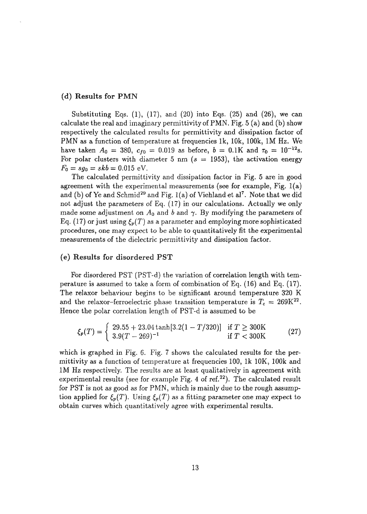### (d) Results for PMN

Substituting Eqs.  $(1)$ ,  $(17)$ , and  $(20)$  into Eqs.  $(25)$  and  $(26)$ , we can calculate the real and imaginary permittivity of PMN. Fig. 5 (a) and (b) show respectively the calculated results for permittivity and dissipation factor of PMN as a function of temperature at frequencies Ik, 10k, 100k, 1M Hz. We have taken  $A_0 = 380$ ,  $c_{f0} = 0.019$  as before,  $b = 0.1K$  and  $\tau_0 = 10^{-12}$ s. For polar clusters with diameter 5 nm *(s =* 1953), the activation energy  $F_0 = sg_0 = skb = 0.015$  eV.

The calculated permittivity and dissipation factor in Fig. 5 are in good agreement with the experimental measurements (see for example, Fig.  $l(a)$ ) and (b) of Ye and Schmid<sup>29</sup> and Fig. 1(a) of Viehland et al<sup>7</sup>. Note that we did not adjust the parameters of Eq. (17) in our calculations. Actually we only made some adjustment on  $A_0$  and b and  $\gamma$ . By modifying the parameters of Eq. (17) or just using  $\xi_p(T)$  as a parameter and employing more sophisticated procedures, one may expect to be able to quantitatively fit the experimental measurements of the dielectric permittivity and dissipation factor.

### (e) Results for disordered PST

For disordered PST (PST-d) the variation of correlation length with temperature is assumed to take a form of combination of Eq. (16) and Eq. (17). The relaxor behaviour begins to be significant around temperature 320 K and the relaxor-ferroelectric phase transition temperature is  $T_c = 269K^{22}$ . Hence the polar correlation length of PST-d is assumed to be

$$
\xi_p(T) = \begin{cases} 29.55 + 23.04 \tanh[3.2(1 - T/320)] & \text{if } T \ge 300 \text{K} \\ 3.9(T - 269)^{-1} & \text{if } T < 300 \text{K} \end{cases} \tag{27}
$$

which is graphed in Fig. 6. Fig. 7 shows the calculated results for the permittivity as a function of temperature at frequencies 100, Ik 10K, 100k and 1M Hz respectively. The results are at least qualitatively in agreement with experimental results (see for example Fig. 4 of ref.<sup>22</sup>). The calculated result for PST is not as good as for PMN, which is mainly due to the rough assumption applied for  $\xi_p(T)$ . Using  $\xi_p(T)$  as a fitting parameter one may expect to obtain curves which quantitatively agree with experimental results.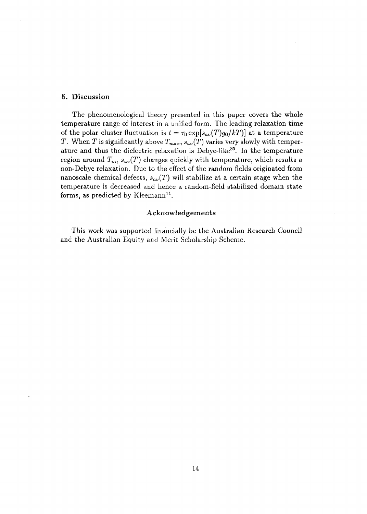### 5. Discussion

The phenomenological theory presented in this paper covers the whole temperature range of interest in a unified form. The leading relaxation time of the polar cluster fluctuation is  $t = \tau_0 \exp[s_{av}(T)g_0/kT)]$  at a temperature *T*. When *T* is significantly above  $T_{max}$ ,  $s_{av}(T)$  varies very slowly with temperature and thus the dielectric relaxation is Debye-like<sup>30</sup>. In the temperature region around  $T_m$ ,  $s_{av}(T)$  changes quickly with temperature, which results a non-Debye relaxation. Due to the effect of the random fields originated from nanoscale chemical defects,  $s_{av}(T)$  will stabilize at a certain stage when the temperature is decreased and hence a random-field stabilized domain state forms, as predicted by Kleemann<sup>11</sup>.

### Acknowledgements

This work was supported financially be the Australian Research Council and the Australian Equity and Merit Scholarship Scheme.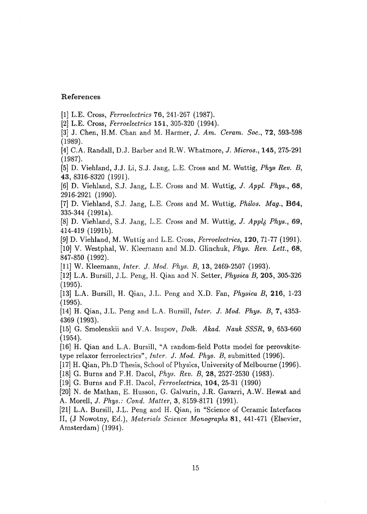### References

[I] L.E. Cross, *Ferroelectric\** 76, 241-287 (1987).

[2] L.E. Cross, *Ferroelectrics* 151, 305-320 (1994).

[3] J. Chen, H.M. Chan and M. Harmer, *J. Am. Cerarn. Soc,* 72, 593-598 (1989).

[4] C.A. Randall, D.J. Barber and R.W. Whatmore, J. *Micros.,* 145, 275-291 (1987).

[5] D. Viehland, J.J. Li, S.J. Jang, L.E. Cross and M. Wuttig, *Phys Rev. B,* 43, 8316-8320 (1991).

[6] D. Viehland, S.J. Jang, L.E. Cross and M. Wuttig, *J. Appl Phys.,* 68, 2916-2921 (1990).

[7] D. Viehland, S.J. Jang, L.E. Cross and M. Wuttig, *Philos. Mag.,* B64, 335-344 (1991a).

[8] D. Viehland, S.J. Jang, L.E. Cross and M. Wuttig, *J. Appl<sub>6</sub> Phys.*, 69, 414-419 (1991b).

[9] D. Viehland, M. Wuttig and L.E. Cross, *Ferroelectrics,* 120, 71-77 (1991). [10] V. Westphal, W. Kleemann and M.D. Glinchuk, *Phys. Rev. Lett,* 68, 847-850 (1992).

[II] W. Kleemann, *Inter. J. Mod. Phys. B,* 13, 2469-2507 (1993).

[12] L.A. Bursill, J.L. Peng, H. Qian and N. Setter, *Physica B,* 205, 305-326 (1995).

[13] L.A. Bursill, H. Qian, J.L. Peng and X.D. Fan, *Physica B,* 216, 1-23 (1995).

[14] H. Qian, J.L. Peng and L.A. Bursill, *Inter. J. Mod. Phys. B,* 7, 4353- 4369 (1993).

[15] G. Smolenskii and V.A. Isupov, *Dolk. Akad. Nauk SSSR,* 9, 653-660 (1954).

[16] H. Qian and L.A. Bursill, "A random-field Potts model for perovskitetype relaxor ferroelectrics", *Inter. J. Mod. Phys. B,* submitted (1996).

[17] H. Qian, Ph.D Thesis, School of Physics, University of Melbourne (1996).

[18] G. Burns and F.H. Dacol, *Phys. Rev. B,* 28, 2527-2530 (1983).

[19] G. Burns and F.H. Dacol, *Ferroelectrics,* 104, 25-31 (1990)

[20] N. de Mathan, E. Husson, G. Galvarin, J.R. Gavarri, A.W. Hewat and A. Morell, *J. Phys.: Cond. Matter,* 3, 8159-8171 (1991).

[21] L.A. Bursill, J.L. Peng and H. Qian, in "Science of Ceramic Interfaces II, (J Nowotny, Ed.), *Materials Science Monographs* 81, 441-471 (Elsevier, Amsterdam) (1994).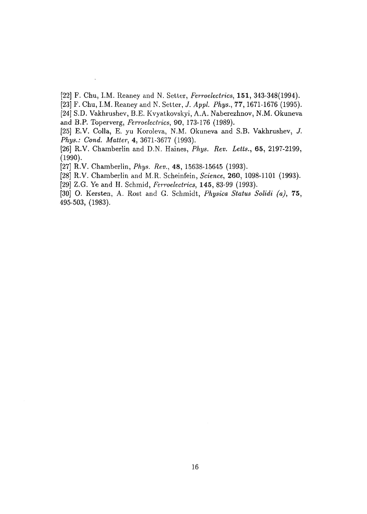- [22] F. Chu, LM. Reaney and N. Setter, *Ferroelectrics,* 151, 343-348(1994).
- [23] F. Chu, LM. Reaney and N. Setter, *J. Appi. Phys.,* 77,1671-1676 (1995).
- [24] S.D. Vakhrushev, B.E. Kvyatkovskyi, A.A. Naberezhnov, N.M. Okuneva and B.P. Toperverg, Ferroelectrics, 90, 173-176 (1989).
- [25] E.V. Colla, E. yu Koroleva, N.M. Okuneva and S.B. Vakhrushev, J. Phys.: Cond. Matter, 4, 3671-3677 (1993).
- [26] R.V. Chamberlin and D.N. Haines, Phys. Rev. Letts., 65, 2197-2199,  $(1990).$
- [27] R.V. Chamberlin, *Phys. Rev.*, 48, 15638-15645 (1993).

 $\ddot{\phantom{1}}$ 

- [28] R.V. Chamberlin and M.R. Scheinfein, Science, 260, 1098-1101 (1993).
- [29] Z.G. Ye and H. Schmid, Ferroelectrics, 145, 83-99 (1993).
- [30] O. Kersten, A. Rost and G. Schmidt, *Physica Status Solidi (a)*, 75,  $495-503, (1983).$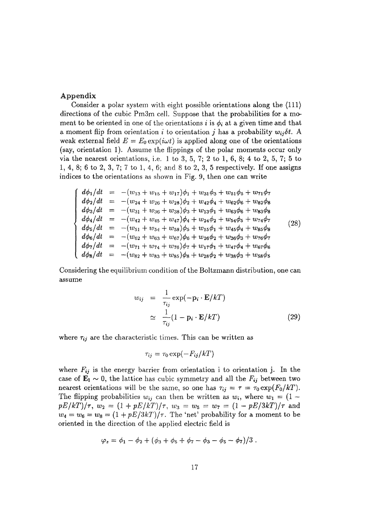### Appendix

Consider a polar system with eight possible orientations along the (111) directions of the cubic Pm3m cell. Suppose that the probabilities for a moment to be oriented in one of the orientations  $i$  is  $\phi_i$  at a given time and that a moment flip from orientation *i* to orientation *j* has a probability  $w_i \delta t$ . A weak external field  $E = E_0 \exp(i\omega t)$  is applied along one of the orientations (say, orientation 1). Assume the flippings of the polar moments occur only via the nearest orientations, i.e. 1 to 3, 5, 7; 2 to 1, 6, 8; 4 to 2, 5, 7; 5 to 1, 4, 8; 6 to 2, 3, 7; 7 to 1, 4, 6; and 8 to 2, 3, 5 respectively. If one assigns indices to the orientations as shown in Fig. 9, then one can write

$$
\begin{cases}\nd\phi_1/dt &= -(w_{13} + w_{15} + w_{17})\phi_1 + w_{31}\phi_3 + w_{51}\phi_5 + w_{71}\phi_7 \\
d\phi_2/dt &= -(w_{24} + w_{26} + w_{28})\phi_2 + w_{42}\phi_4 + w_{62}\phi_6 + w_{82}\phi_8 \\
d\phi_3/dt &= -(w_{31} + w_{36} + w_{38})\phi_3 + w_{13}\phi_1 + w_{63}\phi_6 + w_{83}\phi_8 \\
d\phi_4/dt &= -(w_{42} + w_{45} + w_{47})\phi_4 + w_{24}\phi_2 + w_{54}\phi_5 + w_{74}\phi_7 \\
d\phi_5/dt &= -(w_{51} + w_{54} + w_{58})\phi_5 + w_{15}\phi_1 + w_{45}\phi_4 + w_{85}\phi_8 \\
d\phi_6/dt &= -(w_{62} + w_{63} + w_{67})\phi_6 + w_{26}\phi_2 + w_{36}\phi_3 + w_{76}\phi_7 \\
d\phi_7/dt &= -(w_{71} + w_{74} + w_{76})\phi_7 + w_{17}\phi_1 + w_{47}\phi_4 + w_{67}\phi_6 \\
d\phi_8/dt &= -(w_{82} + w_{83} + w_{85})\phi_8 + w_{28}\phi_2 + w_{38}\phi_3 + w_{58}\phi_5\n\end{cases}
$$

Considering the equilibrium condition of the Boltzmann distribution, one can assume

$$
w_{ij} = \frac{1}{\tau_{ij}} \exp(-\mathbf{p}_i \cdot \mathbf{E}/kT)
$$
  
\n
$$
\approx \frac{1}{\tau_{ij}} (1 - \mathbf{p}_i \cdot \mathbf{E}/kT)
$$
 (29)

where  $\tau_{ij}$  are the characteristic times. This can be written as

$$
\tau_{ij} = \tau_0 \exp(-F_{ij}/kT)
$$

where  $F_{ij}$  is the energy barrier from orientation i to orientation j. In the case of  $\mathbf{E}_1 \sim 0$ , the lattice has cubic symmetry and all the  $F_{ij}$  between two nearest orientations will be the same, so one has  $\tau_{ij} = \tau = \tau_0 \exp(F_0/kT)$ . The flipping probabilities  $w_{ij}$  can then be written as  $w_i$ , where  $w_1 = (1$  $pE/kT)/\tau$ ,  $w_2 = (1 + pE/kT)/\tau$ ,  $w_3 = w_5 = w_7 = (1 - pE/3kT)/\tau$  and  $w_4 = w_6 = w_8 = (1 + pE/3kT)/\tau$ . The 'net' probability for a moment to be oriented in the direction of the applied electric field is

$$
\varphi_z = \phi_1 - \phi_2 + (\phi_3 + \phi_5 + \phi_7 - \phi_3 - \phi_5 - \phi_7)/3.
$$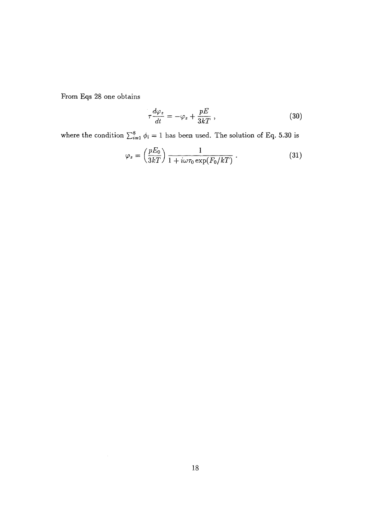From Eqs 28 one obtains

$$
\tau \frac{d\varphi_z}{dt} = -\varphi_z + \frac{pE}{3kT} \,, \tag{30}
$$

where the condition  $\sum_{i=1}^{8} \phi_i = 1$  has been used. The solution of Eq. 5.30 is

$$
\varphi_z = \left(\frac{pE_0}{3kT}\right) \frac{1}{1 + i\omega\tau_0 \exp(F_0/kT)}.
$$
\n(31)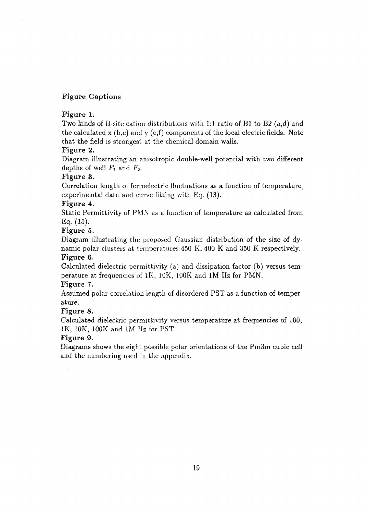# Figure Captions

## Figure 1.

Two kinds of B-site cation distributions with 1:1 ratio of Bl to B2 (a,d) and the calculated x  $(b,e)$  and y  $(c,f)$  components of the local electric fields. Note that the field is strongest at the chemical domain walls.

## Figure 2.

Diagram illustrating an anisotropic double-well potential with two different depths of well  $F_1$  and  $F_2$ .

# Figure 3.

Correlation length of ferroelectric fluctuations as a function of temperature, experimental data and curve fitting with Eq. (13).

# Figure 4.

Static Permittivity of PMN as a function of temperature as calculated from Eq. (15).

## Figure 5.

Diagram illustrating the proposed Gaussian distribution of the size of dynamic polar clusters at temperatures 450 K, 400 K and 350 K respectively. Figure 6.

Calculated dielectric permittivity (a) and dissipation factor (b) versus temperature at frequencies of IK, 10K, 100K and 1M Hz for PMN.

### Figure 7.

Assumed polar correlation length of disordered PST as a function of temperature.

# Figure 8.

Calculated dielectric permittivity versus temperature at frequencies of 100, IK, 10K, 100K and 1M Hz for PST.

# Figure 9.

Diagrams shows the eight possible polar orientations of the Pm3m cubic cell and the numbering used in the appendix.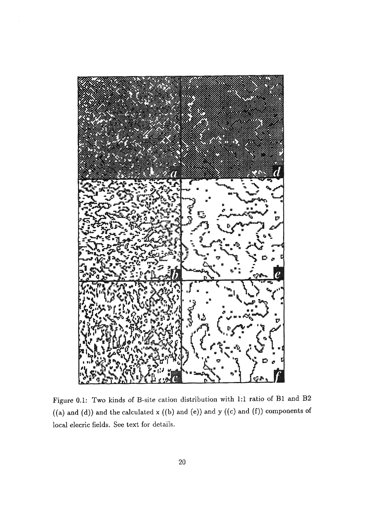

Figure 0.1: Two kinds of B-site cation distribution with 1:1 ratio of Bl and B2  $((a)$  and  $(d))$  and the calculated x  $((b)$  and  $(e))$  and  $y$   $((c)$  and  $(f))$  components of local elecric fields. See text for details.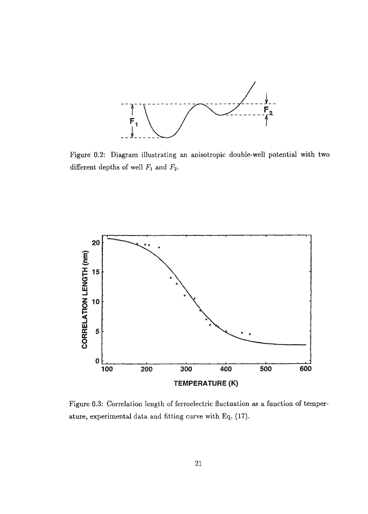

Figure 0.2: Diagram illustrating an anisotropic double-well potential with two different depths of well *Fi* and F2.



Figure 0.3: Correlation length of ferroelectric fluctuation as a function of temperature, experimental data and fitting curve with Eq. (17).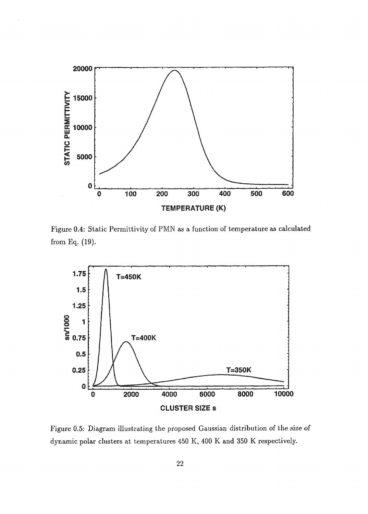

Figure 0.4: Static Permittivity of PMN as a function of temperature as calculated from Eq. (19).



Figure 0.5: Diagram illustrating the proposed Gaussian distribution of the size of dynamic polar clusters at temperatures 450 K, 400 K and 350 K respectively.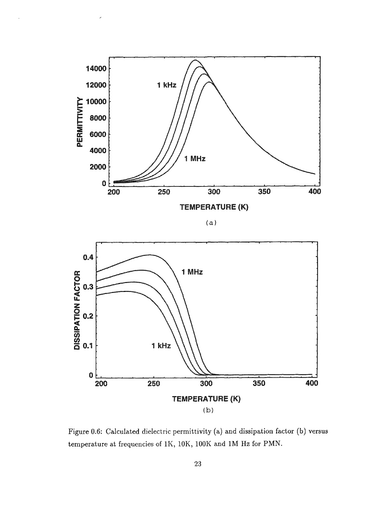

(a )



Figure 0.6: Calculated dielectric permittivity (a) and dissipation factor (b) versus temperature at frequencies of IK, 10K, 100K and 1M Hz for PMN.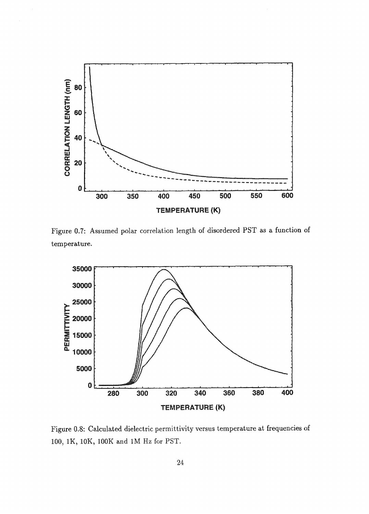

Figure 0.7: Assumed polar correlation length of disordered PST as a function of temperature.



Figure 0.8: Calculated dielectric permittivity versus temperature at frequencies of 100, IK, 10K, 100K and 1M Hz for PST.